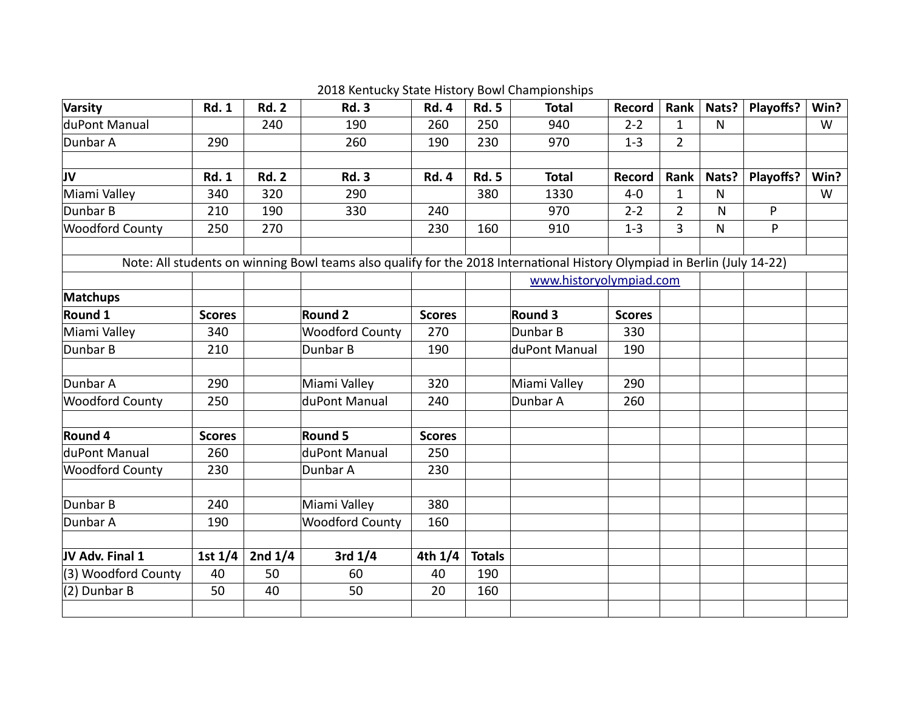| Varsity                | <b>Rd. 1</b>  | <b>Rd. 2</b> | <b>Rd. 3</b>                                                                                                             | <b>Rd. 4</b>  | <b>Rd. 5</b>  | <b>Total</b>            | Record        | Rank           | Nats?        | Playoffs? | Win? |
|------------------------|---------------|--------------|--------------------------------------------------------------------------------------------------------------------------|---------------|---------------|-------------------------|---------------|----------------|--------------|-----------|------|
| duPont Manual          |               | 240          | 190                                                                                                                      | 260           | 250           | 940                     | $2 - 2$       | $\mathbf{1}$   | $\mathsf{N}$ |           | W    |
| Dunbar A               | 290           |              | 260                                                                                                                      | 190           | 230           | 970                     | $1 - 3$       | $\overline{2}$ |              |           |      |
|                        |               |              |                                                                                                                          |               |               |                         |               |                |              |           |      |
| JV                     | <b>Rd. 1</b>  | <b>Rd. 2</b> | <b>Rd. 3</b>                                                                                                             | <b>Rd. 4</b>  | <b>Rd. 5</b>  | <b>Total</b>            | Record        | Rank           | Nats?        | Playoffs? | Win? |
| Miami Valley           | 340           | 320          | 290                                                                                                                      |               | 380           | 1330                    | $4 - 0$       | $\mathbf{1}$   | $\mathsf{N}$ |           | W    |
| Dunbar B               | 210           | 190          | 330                                                                                                                      | 240           |               | 970                     | $2 - 2$       | $\overline{2}$ | N            | P         |      |
| <b>Woodford County</b> | 250           | 270          |                                                                                                                          | 230           | 160           | 910                     | $1 - 3$       | $\overline{3}$ | N            | P         |      |
|                        |               |              | Note: All students on winning Bowl teams also qualify for the 2018 International History Olympiad in Berlin (July 14-22) |               |               |                         |               |                |              |           |      |
|                        |               |              |                                                                                                                          |               |               | www.historyolympiad.com |               |                |              |           |      |
| <b>Matchups</b>        |               |              |                                                                                                                          |               |               |                         |               |                |              |           |      |
| Round 1                | <b>Scores</b> |              | <b>Round 2</b>                                                                                                           | <b>Scores</b> |               | Round 3                 | <b>Scores</b> |                |              |           |      |
| Miami Valley           | 340           |              | <b>Woodford County</b>                                                                                                   | 270           |               | Dunbar B                | 330           |                |              |           |      |
| Dunbar B               | 210           |              | Dunbar B                                                                                                                 | 190           |               | duPont Manual           | 190           |                |              |           |      |
| Dunbar A               | 290           |              | Miami Valley                                                                                                             | 320           |               | Miami Valley            | 290           |                |              |           |      |
| <b>Woodford County</b> | 250           |              | duPont Manual                                                                                                            | 240           |               | Dunbar A                | 260           |                |              |           |      |
| Round 4                | <b>Scores</b> |              | <b>Round 5</b>                                                                                                           | <b>Scores</b> |               |                         |               |                |              |           |      |
| duPont Manual          | 260           |              | duPont Manual                                                                                                            | 250           |               |                         |               |                |              |           |      |
| <b>Woodford County</b> | 230           |              | Dunbar A                                                                                                                 | 230           |               |                         |               |                |              |           |      |
| Dunbar B               | 240           |              | Miami Valley                                                                                                             | 380           |               |                         |               |                |              |           |      |
| Dunbar A               | 190           |              | <b>Woodford County</b>                                                                                                   | 160           |               |                         |               |                |              |           |      |
|                        |               |              |                                                                                                                          |               |               |                         |               |                |              |           |      |
| JV Adv. Final 1        | 1st $1/4$     | 2nd $1/4$    | 3rd $1/4$                                                                                                                | 4th $1/4$     | <b>Totals</b> |                         |               |                |              |           |      |
| (3) Woodford County    | 40            | 50           | 60                                                                                                                       | 40            | 190           |                         |               |                |              |           |      |
| (2) Dunbar B           | 50            | 40           | 50                                                                                                                       | 20            | 160           |                         |               |                |              |           |      |
|                        |               |              |                                                                                                                          |               |               |                         |               |                |              |           |      |

2018 Kentucky State History Bowl Championships